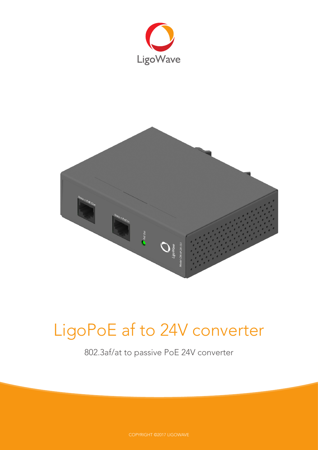



# LigoPoE af to 24V converter

802.3af/at to passive PoE 24V converter